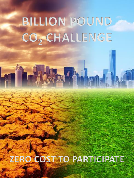## **BILLION POUND CO<sup>2</sup> CHALLENGE**

HALL THE

**ZERO COST TO PARTICIPATE**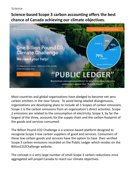**Science-based Scope 3 carbon accounting offers the best chance of Canada achieving our climate objectives.** 



Most countries and global organizations have pledged to become net-zero carbon emitters in the near future. To avoid being labeled disingenuous, organizations are developing plans to include all 3 Scopes of carbon emissions. Scope 1 is the carbon emissions from an organization's direct activities. Scope 2 emissions are related to the consumption of electricity. Scope 3, by far the largest of the three, accounts for the supply chain and the carbon footprint of the goods and services consumed.

The Billion Pound CO2 Challenge is a science-based platform designed to recognize Scope 3 low carbon suppliers of good and services. Consumers of these low carbon goods and services have the option to have their verified Scope 3 carbon emissions recorded on the Public Ledger which resides on the BillionCO2Challenge website.

The concept is a very large number of small Scope 3 carbon reductions once aggregated will propel Canada to reach our climate objectives.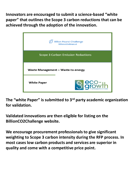**Innovators are encouraged to submit a science-based "white paper" that outlines the Scope 3 carbon reductions that can be achieved through the adoption of the innovation.**



**The "white Paper" is submitted to 3rd party academic organization for validation.**

**Validated innovations are then eligible for listing on the BillionCO2Challenge website.** 

**We encourage procurement professionals to give significant weighting to Scope 3 carbon intensity during the RFP process. In most cases low carbon products and services are superior in quality and come with a competitive price point.**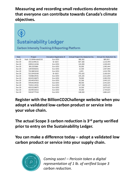**Measuring and recording small reductions demonstrate that everyone can contribute towards Canada's climate objectives.**

**Sustainability Ledger** Carbon Intensity Tracking & Reporting Platform

| Date   | Project              | Innovation Registration # | Annual Project CO <sub>2</sub> Reduction Ibs. | Annual CO <sub>2</sub> Reduction Ibs. |
|--------|----------------------|---------------------------|-----------------------------------------------|---------------------------------------|
| Dec-20 | Hash: 221998mddd2232 | Eco-1050                  | 389,262                                       | 389,262                               |
| Dec-20 | 19212199121          | Ex-1625                   | 827,182                                       | 1,216,444                             |
| Dec-20 | 23991212436          | Eco-1050                  | 123,000                                       | 1,339,444                             |
| Dec-20 | 9912235686           | Eco-1050                  | 56,000                                        | 1,395,444                             |
| Dec-20 | 12954392001          | Eco-1050                  | 12,500                                        | 1,407,944                             |
| Dec-20 | 73218853432          | Eco-1050                  | 2,855                                         | 1,410,799                             |
| Dec-20 | 52123432560          | Ex-1625                   | 755.625                                       | 2.166.424                             |
| Dec-20 | 72398324591          | Eco-1050                  | 145,235                                       | 2,311,659                             |
| Dec-20 | 42345234875          | Eco-1050                  | 78,900                                        | 2,390,559                             |
| Dec-20 | 33244567852          | Eco-1050                  | 52,566                                        | 2,443,125                             |
| Dec-20 | 54434234563          | Eco-1050                  | 98,500                                        | 2,541,625                             |
| Dec-20 | 72391114591          | Eco-1050                  | 117,500                                       | 2,659,125                             |
| Dec-20 | 42322234875          | Eco-1050                  | 16,500                                        | 2,675,625                             |
| Dec-20 | 33244533352          | Eco-1050                  | 59,000                                        | 2,734,625                             |
| Dec-20 | 54434777563          | Eco-1050                  | 148,000                                       | 2,882,625                             |

**Register with the BillionCO2Challenge website when you adopt a validated low-carbon product or service into your value chain.**

**The actual Scope 3 carbon reduction is 3rd party verified prior to entry on the Sustainability Ledger.**

**You can make a difference today – adopt a validated low carbon product or service into your supply chain.**



*Coming soon! – Pericoin token a digital representation of 1 lb. of verified Scope 3 carbon reduction.*